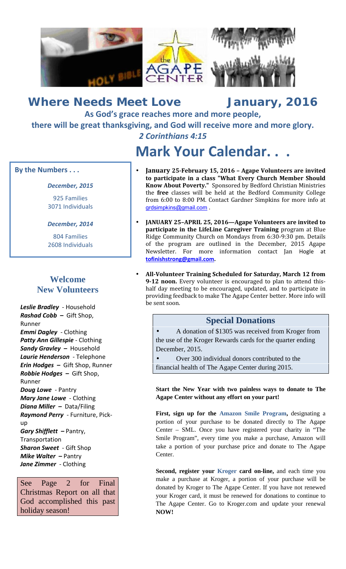

*Where Needs Meet Love January, 2016* **As God's grace reaches more and more people, there will be great thanksgiving, and God will receive more and more glory.** *2 Corinthians 4:15*

# **Mark Your Calendar. . .**

#### **By the Numbers . . .**

#### *December, 2015*

925 Families 3071 Individuals

*December, 2014*

804 Families 2608 Individuals

# **Welcome New Volunteers**

*Leslie Bradley* - Household *Rashad Cobb –* Gift Shop, Runner *Emmi Dagley* - Clothing *Patty Ann Gillespie* - Clothing *Sandy Gravley –* Household *Laurie Henderson* - Telephone *Erin Hodges –* Gift Shop, Runner *Robbie Hodges –* Gift Shop, Runner *Doug Lowe* - Pantry *Mary Jane Lowe* - Clothing *Diana Miller –* Data/Filing *Raymond Perry* - Furniture, Pick up *Gary Shifflett –* Pantry, **Transportation** *Sharon Sweet* - Gift Shop *Mike Walter –* Pantry *Jane Zimmer* - Clothing

See Page 2 for Final Christmas Report on all that God accomplished this past holiday season!

- **January 25-February 15, 2016 – Agape Volunteers are invited to participate in a class "What Every Church Member Should Know About Poverty."** Sponsored by Bedford Christian Ministries the **free** classes will be held at the Bedford Community College from 6:00 to 8:00 PM. Contact Gardner Simpkins for more info at grdsimpkins@gmail.com .
- **JANUARY 25–APRIL 25, 2016—Agape Volunteers are invited to participate in the LifeLine Caregiver Training** program at Blue Ridge Community Church on Mondays from 6:30-9:30 pm. Details of the program are outlined in the December, 2015 Agape Newsletter. For more information contact Jan Hogle at **tofinishstrong@gmail.com.**
- **All-Volunteer Training Scheduled for Saturday, March 12 from 9-12 noon.** Every volunteer is encouraged to plan to attend this half day meeting to be encouraged, updated, and to participate in providing feedback to make The Agape Center better. More info will be sent soon.

### **Special Donations**

 A donation of \$1305 was received from Kroger from the use of the Kroger Rewards cards for the quarter ending December, 2015.

 Over 300 individual donors contributed to the financial health of The Agape Center during 2015.

**Start the New Year with two painless ways to donate to The Agape Center without any effort on your part!**

**First, sign up for the Amazon Smile Program,** designating a portion of your purchase to be donated directly to The Agape Center – SML. Once you have registered your charity in "The Smile Program", every time you make a purchase, Amazon will take a portion of your purchase price and donate to The Agape Center.

**Second, register your Kroger card on-line,** and each time you make a purchase at Kroger, a portion of your purchase will be donated by Kroger to The Agape Center. If you have not renewed your Kroger card, it must be renewed for donations to continue to The Agape Center. Go to Kroger.com and update your renewal **NOW!**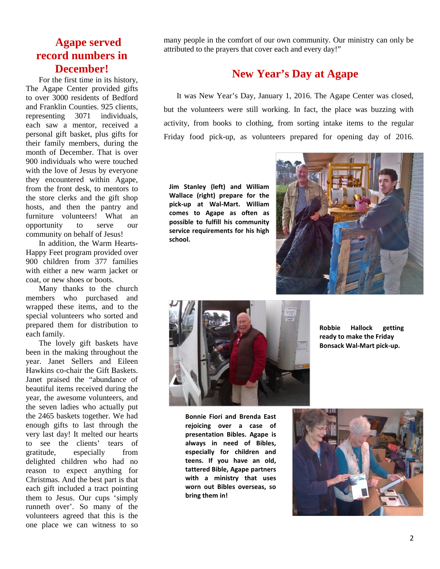# **Agape served record numbers in December!**

For the first time in its history, The Agape Center provided gifts to over 3000 residents of Bedford and Franklin Counties. 925 clients, representing 3071 individuals, each saw a mentor, received a personal gift basket, plus gifts for their family members, during the month of December. That is over 900 individuals who were touched with the love of Jesus by everyone they encountered within Agape, from the front desk, to mentors to the store clerks and the gift shop hosts, and then the pantry and furniture volunteers! What an opportunity to serve our community on behalf of Jesus!

In addition, the Warm Hearts- Happy Feet program provided over 900 children from 377 families with either a new warm jacket or coat, or new shoes or boots.

Many thanks to the church members who purchased and wrapped these items, and to the special volunteers who sorted and prepared them for distribution to each family.

The lovely gift baskets have been in the making throughout the year. Janet Sellers and Eileen Hawkins co-chair the Gift Baskets. Janet praised the "abundance of beautiful items received during the year, the awesome volunteers, and the seven ladies who actually put the 2465 baskets together. We had enough gifts to last through the very last day! It melted our hearts to see the clients' tears of gratitude, especially from delighted children who had no reason to expect anything for Christmas. And the best part is that each gift included a tract pointing them to Jesus. Our cups 'simply runneth over'. So many of the volunteers agreed that this is the one place we can witness to so

many people in the comfort of our own community. Our ministry can only be attributed to the prayers that cover each and every day!"

### **New Year's Day at Agape**

It was New Year's Day, January 1, 2016. The Agape Center was closed, but the volunteers were still working. In fact, the place was buzzing with activity, from books to clothing, from sorting intake items to the regular Friday food pick-up, as volunteers prepared for opening day of 2016.

**Jim Stanley (left) and William Wallace (right) prepare for the pick-up at Wal-Mart. William comes to Agape as often as possible to fulfill his community service requirements for his high school.**





**Robbie Hallock getting ready to make the Friday Bonsack Wal-Mart pick-up.**

**Bonnie Fiori and Brenda East rejoicing over a case of presentation Bibles. Agape is always in need of Bibles, especially for children and teens. If you have an old, tattered Bible, Agape partners with a ministry that uses worn out Bibles overseas, so bring them in!**

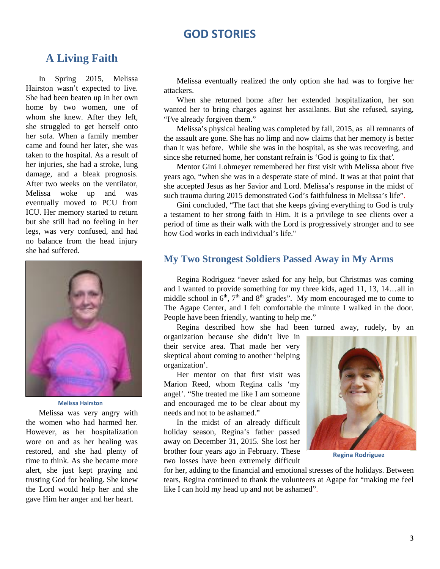#### **GOD STORIES**

### **A Living Faith**

In Spring 2015, Melissa Hairston wasn't expected to live. She had been beaten up in her own home by two women, one of whom she knew. After they left, she struggled to get herself onto her sofa. When a family member came and found her later, she was taken to the hospital. As a result of her injuries, she had a stroke, lung damage, and a bleak prognosis. After two weeks on the ventilator, Melissa woke up and was eventually moved to PCU from ICU. Her memory started to return but she still had no feeling in her legs, was very confused, and had no balance from the head injury she had suffered.



#### **Melissa Hairston**

Melissa was very angry with the women who had harmed her. However, as her hospitalization wore on and as her healing was restored, and she had plenty of time to think. As she became more alert, she just kept praying and trusting God for healing. She knew the Lord would help her and she gave Him her anger and her heart.

Melissa eventually realized the only option she had was to forgive her attackers.

When she returned home after her extended hospitalization, her son wanted her to bring charges against her assailants. But she refused, saying, "I've already forgiven them."

Melissa's physical healing was completed by fall, 2015, as all remnants of the assault are gone. She has no limp and now claims that her memory is better than it was before. While she was in the hospital, as she was recovering, and since she returned home, her constant refrain is 'God is going to fix that'.

Mentor Gini Lohmeyer remembered her first visit with Melissa about five years ago, "when she was in a desperate state of mind. It was at that point that she accepted Jesus as her Savior and Lord. Melissa's response in the midst of such trauma during 2015 demonstrated God's faithfulness in Melissa's life".

Gini concluded, "The fact that she keeps giving everything to God is truly a testament to her strong faith in Him. It is a privilege to see clients over a period of time as their walk with the Lord is progressively stronger and to see how God works in each individual's life."

#### **My Two Strongest Soldiers Passed Away in My Arms**

Regina Rodriguez "never asked for any help, but Christmas was coming and I wanted to provide something for my three kids, aged 11, 13, 14…all in middle school in  $6<sup>th</sup>$ ,  $7<sup>th</sup>$  and  $8<sup>th</sup>$  grades". My mom encouraged me to come to The Agape Center, and I felt comfortable the minute I walked in the door. People have been friendly, wanting to help me."

Regina described how she had been turned away, rudely, by an

organization because she didn't live in their service area. That made her very skeptical about coming to another 'helping organization'.

Her mentor on that first visit was Marion Reed, whom Regina calls 'my angel'. "She treated me like I am someone and encouraged me to be clear about my needs and not to be ashamed."

In the midst of an already difficult holiday season, Regina's father passed away on December 31, 2015. She lost her brother four years ago in February. These two losses have been extremely difficult



**Regina Rodriguez**

for her, adding to the financial and emotional stresses of the holidays. Between tears, Regina continued to thank the volunteers at Agape for "making me feel like I can hold my head up and not be ashamed".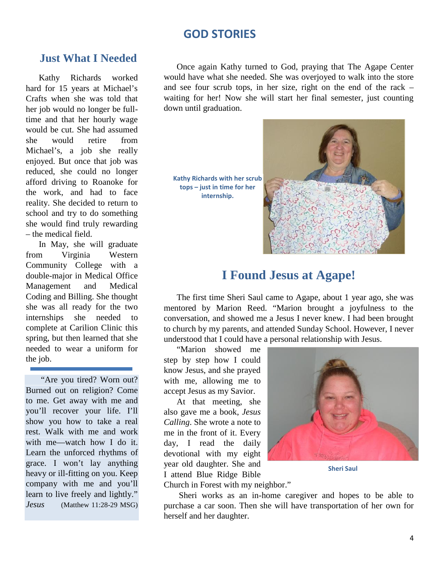### **GOD STORIES**

#### **Just What I Needed**

Kathy Richards worked hard for 15 years at Michael's Crafts when she was told that her job would no longer be fulltime and that her hourly wage would be cut. She had assumed she would retire from Michael's, a job she really enjoyed. But once that job was reduced, she could no longer afford driving to Roanoke for the work, and had to face reality. She decided to return to school and try to do something she would find truly rewarding – the medical field.

In May, she will graduate from Virginia Western Community College with a double-major in Medical Office Management and Medical Coding and Billing. She thought she was all ready for the two internships she needed to complete at Carilion Clinic this spring, but then learned that she needed to wear a uniform for the job.

"Are you tired? Worn out? Burned out on religion? Come to me. Get away with me and you'll recover your life. I'll show you how to take a real rest. Walk with me and work with me—watch how I do it. Learn the unforced rhythms of grace. I won't lay anything heavy or ill-fitting on you. Keep company with me and you'll learn to live freely and lightly." *Jesus* (Matthew 11:28-29 MSG)

Once again Kathy turned to God, praying that The Agape Center would have what she needed. She was overjoyed to walk into the store and see four scrub tops, in her size, right on the end of the rack – waiting for her! Now she will start her final semester, just counting down until graduation.

**Kathy Richards with her scrub tops – just in time for her internship.**



# **I Found Jesus at Agape!**

The first time Sheri Saul came to Agape, about 1 year ago, she was mentored by Marion Reed. "Marion brought a joyfulness to the conversation, and showed me a Jesus I never knew. I had been brought to church by my parents, and attended Sunday School. However, I never understood that I could have a personal relationship with Jesus.

"Marion showed me step by step how I could know Jesus, and she prayed with me, allowing me to accept Jesus as my Savior.

At that meeting, she also gave me a book, *Jesus Calling*. She wrote a note to me in the front of it. Every day, I read the daily devotional with my eight year old daughter. She and I attend Blue Ridge Bible



**Sheri Saul**

Church in Forest with my neighbor."

Sheri works as an in-home caregiver and hopes to be able to purchase a car soon. Then she will have transportation of her own for herself and her daughter.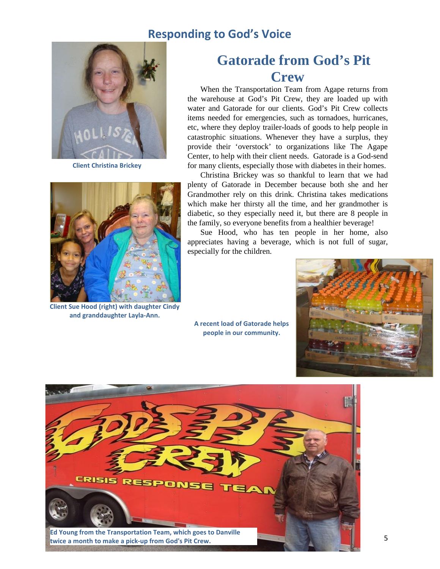# **Responding to God's Voice**



**Client Christina Brickey**



**Client Sue Hood (right) with daughter Cindy and granddaughter Layla-Ann.**

# **Gatorade from God's Pit Crew**

When the Transportation Team from Agape returns from the warehouse at God's Pit Crew, they are loaded up with water and Gatorade for our clients. God's Pit Crew collects items needed for emergencies, such as tornadoes, hurricanes, etc, where they deploy trailer-loads of goods to help people in catastrophic situations. Whenever they have a surplus, they provide their 'overstock' to organizations like The Agape Center, to help with their client needs. Gatorade is a God-send for many clients, especially those with diabetes in their homes.

Christina Brickey was so thankful to learn that we had plenty of Gatorade in December because both she and her Grandmother rely on this drink. Christina takes medications which make her thirsty all the time, and her grandmother is diabetic, so they especially need it, but there are 8 people in the family, so everyone benefits from a healthier beverage!

Sue Hood, who has ten people in her home, also appreciates having a beverage, which is not full of sugar, especially for the children.

**A recent load of Gatorade helps people in our community.**



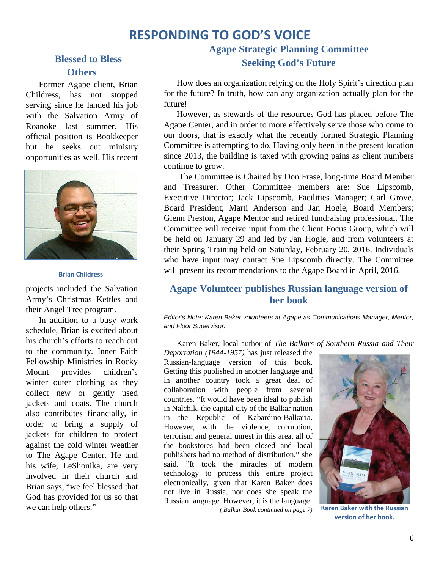# **RESPONDING TO GOD'S VOICE**

#### **Blessed to Bless Others**

Former Agape client, Brian Childress, has not stopped serving since he landed his job with the Salvation Army of Roanoke last summer. His official position is Bookkeeper but he seeks out ministry opportunities as well. His recent



#### **Brian Childress**

projects included the Salvation Army's Christmas Kettles and their Angel Tree program.

In addition to a busy work schedule, Brian is excited about his church's efforts to reach out to the community. Inner Faith Fellowship Ministries in Rocky Mount provides children's winter outer clothing as they collect new or gently used jackets and coats. The church also contributes financially, in order to bring a supply of jackets for children to protect against the cold winter weather to The Agape Center. He and his wife, LeShonika, are very involved in their church and Brian says, "we feel blessed that God has provided for us so that we can help others."

### **Agape Strategic Planning Committee Seeking God's Future**

How does an organization relying on the Holy Spirit's direction plan for the future? In truth, how can any organization actually plan for the future!

However, as stewards of the resources God has placed before The Agape Center, and in order to more effectively serve those who come to our doors, that is exactly what the recently formed Strategic Planning Committee is attempting to do. Having only been in the present location since 2013, the building is taxed with growing pains as client numbers continue to grow.

The Committee is Chaired by Don Frase, long-time Board Member and Treasurer. Other Committee members are: Sue Lipscomb, Executive Director; Jack Lipscomb, Facilities Manager; Carl Grove, Board President; Marti Anderson and Jan Hogle, Board Members; Glenn Preston, Agape Mentor and retired fundraising professional. The Committee will receive input from the Client Focus Group, which will be held on January 29 and led by Jan Hogle, and from volunteers at their Spring Training held on Saturday, February 20, 2016. Individuals who have input may contact Sue Lipscomb directly. The Committee will present its recommendations to the Agape Board in April, 2016.

#### **Agape Volunteer publishes Russian language version of her book**

*Editor's Note: Karen Baker volunteers at Agape as Communications Manager, Mentor, and Floor Supervisor.*

Karen Baker, local author of *The Balkars of Southern Russia and Their*

*Deportation (1944-1957)* has just released the Russian-language version of this book. Getting this published in another language and in another country took a great deal of collaboration with people from several countries. "It would have been ideal to publish in Nalchik, the capital city of the Balkar nation in the Republic of Kabardino-Balkaria. However, with the violence, corruption, terrorism and general unrest in this area, all of the bookstores had been closed and local publishers had no method of distribution," she said. "It took the miracles of modern technology to process this entire project electronically, given that Karen Baker does not live in Russia, nor does she speak the Russian language. However, it is the language *( Balkar Book continued on page 7)*



**Karen Baker with the Russian version of her book.**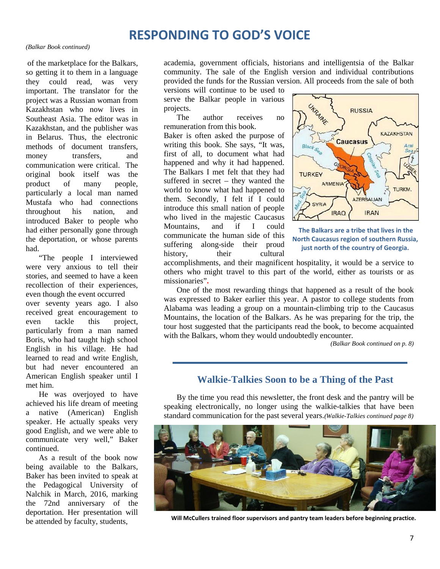# **RESPONDING TO GOD'S VOICE**

#### *(Balkar Book continued)*

of the marketplace for the Balkars, so getting it to them in a language they could read, was very important. The translator for the project was a Russian woman from Kazakhstan who now lives in Southeast Asia. The editor was in Kazakhstan, and the publisher was in Belarus. Thus, the electronic methods of document transfers, money transfers, and communication were critical. The original book itself was the product of many people, particularly a local man named Mustafa who had connections throughout his nation, and introduced Baker to people who had either personally gone through the deportation, or whose parents had.

"The people I interviewed were very anxious to tell their stories, and seemed to have a keen recollection of their experiences, even though the event occurred over seventy years ago. I also received great encouragement to even tackle this project, particularly from a man named Boris, who had taught high school English in his village. He had learned to read and write English, but had never encountered an American English speaker until I met him.

He was overjoyed to have achieved his life dream of meeting a native (American) English speaker. He actually speaks very good English, and we were able to communicate very well," Baker continued.

As a result of the book now being available to the Balkars, Baker has been invited to speak at the Pedagogical University of Nalchik in March, 2016, marking the 72nd anniversary of the deportation. Her presentation will be attended by faculty, students,

academia, government officials, historians and intelligentsia of the Balkar community. The sale of the English version and individual contributions provided the funds for the Russian version. All proceeds from the sale of both

versions will continue to be used to serve the Balkar people in various projects.

The author receives no remuneration from this book. Baker is often asked the purpose of writing this book. She says, "It was, writing this book. She says, It was,<br>first of all, to document what had happened and why it had happened. The Balkars I met felt that they had **TURKEY** suffered in secret – they wanted the world to know what had happened to them. Secondly, I felt if I could introduce this small nation of people who lived in the majestic Caucasus Mountains, and if I could communicate the human side of this suffering along-side their proud history, their cultural



**The Balkars are a tribe that lives in the North Caucasus region of southern Russia, just north of the country of Georgia.**

accomplishments, and their magnificent hospitality, it would be a service to others who might travel to this part of the world, either as tourists or as missionaries"**.**

One of the most rewarding things that happened as a result of the book was expressed to Baker earlier this year. A pastor to college students from Alabama was leading a group on a mountain-climbing trip to the Caucasus Mountains, the location of the Balkars. As he was preparing for the trip, the tour host suggested that the participants read the book, to become acquainted with the Balkars, whom they would undoubtedly encounter.

*(Balkar Book continued on p. 8)*

#### **Walkie-Talkies Soon to be a Thing of the Past**

By the time you read this newsletter, the front desk and the pantry will be speaking electronically, no longer using the walkie-talkies that have been standard communication for the past several years.*(Walkie-Talkies continued page 8)*



**Will McCullers trained floor supervisors and pantry team leaders before beginning practice.**